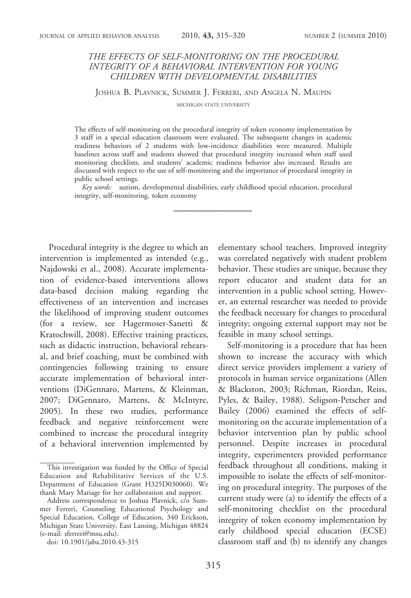# THE EFFECTS OF SELF-MONITORING ON THE PROCEDURAL INTEGRITY OF A BEHAVIORAL INTERVENTION FOR YOUNG CHILDREN WITH DEVELOPMENTAL DISABILITIES

JOSHUA B. PLAVNICK, SUMMER J. FERRERI, AND ANGELA N. MAUPIN

MICHIGAN STATE UNIVERSITY

The effects of self-monitoring on the procedural integrity of token economy implementation by 3 staff in a special education classroom were evaluated. The subsequent changes in academic readiness behaviors of 2 students with low-incidence disabilities were measured. Multiple baselines across staff and students showed that procedural integrity increased when staff used monitoring checklists, and students' academic readiness behavior also increased. Results are discussed with respect to the use of self-monitoring and the importance of procedural integrity in public school settings.

Key words: autism, developmental disabilities, early childhood special education, procedural integrity, self-monitoring, token economy

Procedural integrity is the degree to which an intervention is implemented as intended (e.g., Najdowski et al., 2008). Accurate implementation of evidence-based interventions allows data-based decision making regarding the effectiveness of an intervention and increases the likelihood of improving student outcomes (for a review, see Hagermoser-Sanetti & Kratochwill, 2008). Effective training practices, such as didactic instruction, behavioral rehearsal, and brief coaching, must be combined with contingencies following training to ensure accurate implementation of behavioral interventions (DiGennaro, Martens, & Kleinman, 2007; DiGennaro, Martens, & McIntyre, 2005). In these two studies, performance feedback and negative reinforcement were combined to increase the procedural integrity of a behavioral intervention implemented by

elementary school teachers. Improved integrity was correlated negatively with student problem behavior. These studies are unique, because they report educator and student data for an intervention in a public school setting. However, an external researcher was needed to provide the feedback necessary for changes to procedural integrity; ongoing external support may not be feasible in many school settings.

Self-monitoring is a procedure that has been shown to increase the accuracy with which direct service providers implement a variety of protocols in human service organizations (Allen & Blackston, 2003; Richman, Riordan, Reiss, Pyles, & Bailey, 1988). Seligson-Petscher and Bailey (2006) examined the effects of selfmonitoring on the accurate implementation of a behavior intervention plan by public school personnel. Despite increases in procedural integrity, experimenters provided performance feedback throughout all conditions, making it impossible to isolate the effects of self-monitoring on procedural integrity. The purposes of the current study were (a) to identify the effects of a self-monitoring checklist on the procedural integrity of token economy implementation by early childhood special education (ECSE) classroom staff and (b) to identify any changes

This investigation was funded by the Office of Special Education and Rehabilitative Services of the U.S. Department of Education (Grant H325D030060). We thank Mary Mariage for her collaboration and support.

Address correspondence to Joshua Plavnick, c/o Summer Ferreri, Counseling Educational Psychology and Special Education, College of Education, 340 Erickson, Michigan State University, East Lansing, Michigan 48824 (e-mail: sferreri@msu.edu).

doi: 10.1901/jaba.2010.43-315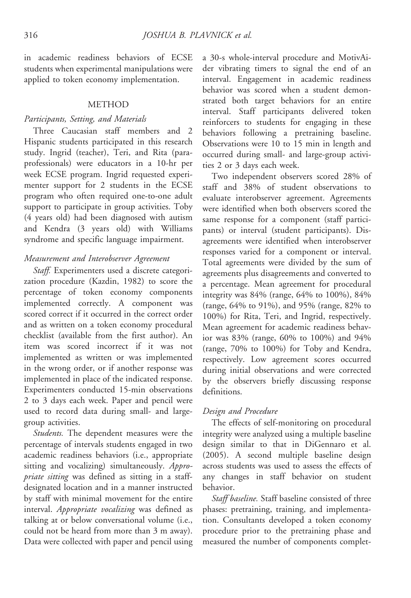in academic readiness behaviors of ECSE students when experimental manipulations were applied to token economy implementation.

#### **METHOD**

### Participants, Setting, and Materials

Three Caucasian staff members and 2 Hispanic students participated in this research study. Ingrid (teacher), Teri, and Rita (paraprofessionals) were educators in a 10-hr per week ECSE program. Ingrid requested experimenter support for 2 students in the ECSE program who often required one-to-one adult support to participate in group activities. Toby (4 years old) had been diagnosed with autism and Kendra (3 years old) with Williams syndrome and specific language impairment.

### Measurement and Interobserver Agreement

Staff. Experimenters used a discrete categorization procedure (Kazdin, 1982) to score the percentage of token economy components implemented correctly. A component was scored correct if it occurred in the correct order and as written on a token economy procedural checklist (available from the first author). An item was scored incorrect if it was not implemented as written or was implemented in the wrong order, or if another response was implemented in place of the indicated response. Experimenters conducted 15-min observations 2 to 3 days each week. Paper and pencil were used to record data during small- and largegroup activities.

Students. The dependent measures were the percentage of intervals students engaged in two academic readiness behaviors (i.e., appropriate sitting and vocalizing) simultaneously. Appropriate sitting was defined as sitting in a staffdesignated location and in a manner instructed by staff with minimal movement for the entire interval. Appropriate vocalizing was defined as talking at or below conversational volume (i.e., could not be heard from more than 3 m away). Data were collected with paper and pencil using

a 30-s whole-interval procedure and MotivAider vibrating timers to signal the end of an interval. Engagement in academic readiness behavior was scored when a student demonstrated both target behaviors for an entire interval. Staff participants delivered token reinforcers to students for engaging in these behaviors following a pretraining baseline. Observations were 10 to 15 min in length and occurred during small- and large-group activities 2 or 3 days each week.

Two independent observers scored 28% of staff and 38% of student observations to evaluate interobserver agreement. Agreements were identified when both observers scored the same response for a component (staff participants) or interval (student participants). Disagreements were identified when interobserver responses varied for a component or interval. Total agreements were divided by the sum of agreements plus disagreements and converted to a percentage. Mean agreement for procedural integrity was 84% (range, 64% to 100%), 84% (range, 64% to 91%), and 95% (range, 82% to 100%) for Rita, Teri, and Ingrid, respectively. Mean agreement for academic readiness behavior was 83% (range, 60% to 100%) and 94% (range, 70% to 100%) for Toby and Kendra, respectively. Low agreement scores occurred during initial observations and were corrected by the observers briefly discussing response definitions.

### Design and Procedure

The effects of self-monitoring on procedural integrity were analyzed using a multiple baseline design similar to that in DiGennaro et al. (2005). A second multiple baseline design across students was used to assess the effects of any changes in staff behavior on student behavior.

Staff baseline. Staff baseline consisted of three phases: pretraining, training, and implementation. Consultants developed a token economy procedure prior to the pretraining phase and measured the number of components complet-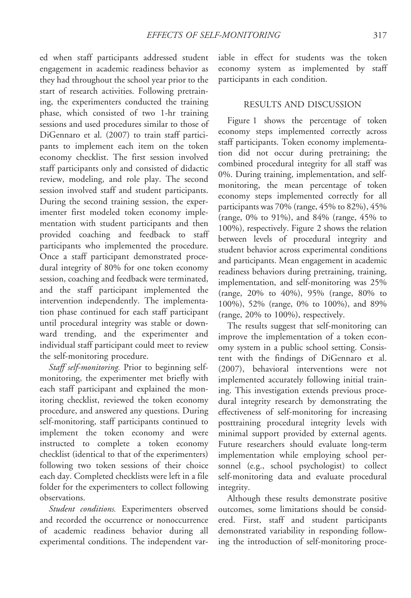ed when staff participants addressed student engagement in academic readiness behavior as they had throughout the school year prior to the start of research activities. Following pretraining, the experimenters conducted the training phase, which consisted of two 1-hr training sessions and used procedures similar to those of DiGennaro et al. (2007) to train staff participants to implement each item on the token economy checklist. The first session involved staff participants only and consisted of didactic review, modeling, and role play. The second session involved staff and student participants. During the second training session, the experimenter first modeled token economy implementation with student participants and then provided coaching and feedback to staff participants who implemented the procedure. Once a staff participant demonstrated procedural integrity of 80% for one token economy session, coaching and feedback were terminated, and the staff participant implemented the intervention independently. The implementation phase continued for each staff participant until procedural integrity was stable or downward trending, and the experimenter and individual staff participant could meet to review the self-monitoring procedure.

Staff self-monitoring. Prior to beginning selfmonitoring, the experimenter met briefly with each staff participant and explained the monitoring checklist, reviewed the token economy procedure, and answered any questions. During self-monitoring, staff participants continued to implement the token economy and were instructed to complete a token economy checklist (identical to that of the experimenters) following two token sessions of their choice each day. Completed checklists were left in a file folder for the experimenters to collect following observations.

Student conditions. Experimenters observed and recorded the occurrence or nonoccurrence of academic readiness behavior during all experimental conditions. The independent variable in effect for students was the token economy system as implemented by staff participants in each condition.

## RESULTS AND DISCUSSION

Figure 1 shows the percentage of token economy steps implemented correctly across staff participants. Token economy implementation did not occur during pretraining; the combined procedural integrity for all staff was 0%. During training, implementation, and selfmonitoring, the mean percentage of token economy steps implemented correctly for all participants was 70% (range, 45% to 82%), 45% (range, 0% to 91%), and 84% (range, 45% to 100%), respectively. Figure 2 shows the relation between levels of procedural integrity and student behavior across experimental conditions and participants. Mean engagement in academic readiness behaviors during pretraining, training, implementation, and self-monitoring was 25% (range, 20% to 40%), 95% (range, 80% to 100%), 52% (range, 0% to 100%), and 89% (range, 20% to 100%), respectively.

The results suggest that self-monitoring can improve the implementation of a token economy system in a public school setting. Consistent with the findings of DiGennaro et al. (2007), behavioral interventions were not implemented accurately following initial training. This investigation extends previous procedural integrity research by demonstrating the effectiveness of self-monitoring for increasing posttraining procedural integrity levels with minimal support provided by external agents. Future researchers should evaluate long-term implementation while employing school personnel (e.g., school psychologist) to collect self-monitoring data and evaluate procedural integrity.

Although these results demonstrate positive outcomes, some limitations should be considered. First, staff and student participants demonstrated variability in responding following the introduction of self-monitoring proce-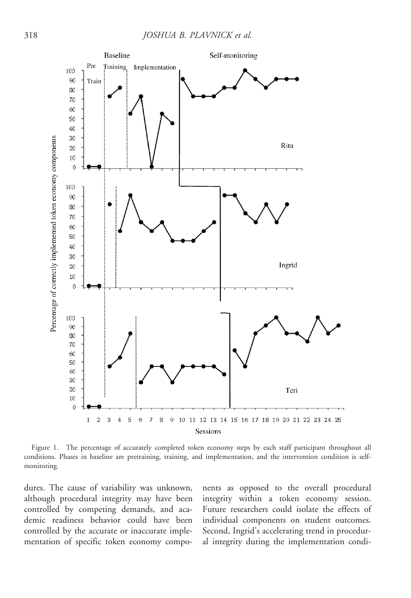

Figure 1. The percentage of accurately completed token economy steps by each staff participant throughout all conditions. Phases in baseline are pretraining, training, and implementation, and the intervention condition is selfmonitoring.

dures. The cause of variability was unknown, although procedural integrity may have been controlled by competing demands, and academic readiness behavior could have been controlled by the accurate or inaccurate implementation of specific token economy components as opposed to the overall procedural integrity within a token economy session. Future researchers could isolate the effects of individual components on student outcomes. Second, Ingrid's accelerating trend in procedural integrity during the implementation condi-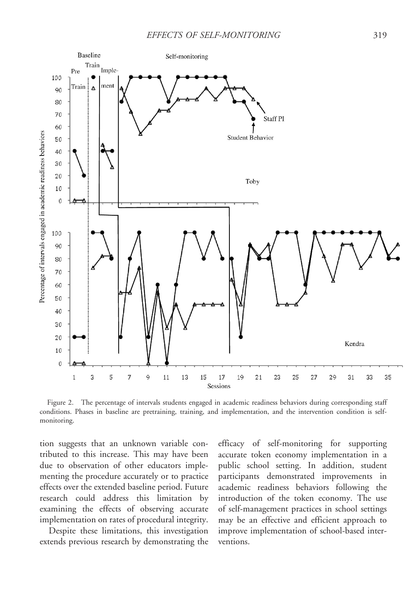

Figure 2. The percentage of intervals students engaged in academic readiness behaviors during corresponding staff conditions. Phases in baseline are pretraining, training, and implementation, and the intervention condition is selfmonitoring.

tion suggests that an unknown variable contributed to this increase. This may have been due to observation of other educators implementing the procedure accurately or to practice effects over the extended baseline period. Future research could address this limitation by examining the effects of observing accurate implementation on rates of procedural integrity.

Despite these limitations, this investigation extends previous research by demonstrating the efficacy of self-monitoring for supporting accurate token economy implementation in a public school setting. In addition, student participants demonstrated improvements in academic readiness behaviors following the introduction of the token economy. The use of self-management practices in school settings may be an effective and efficient approach to improve implementation of school-based interventions.